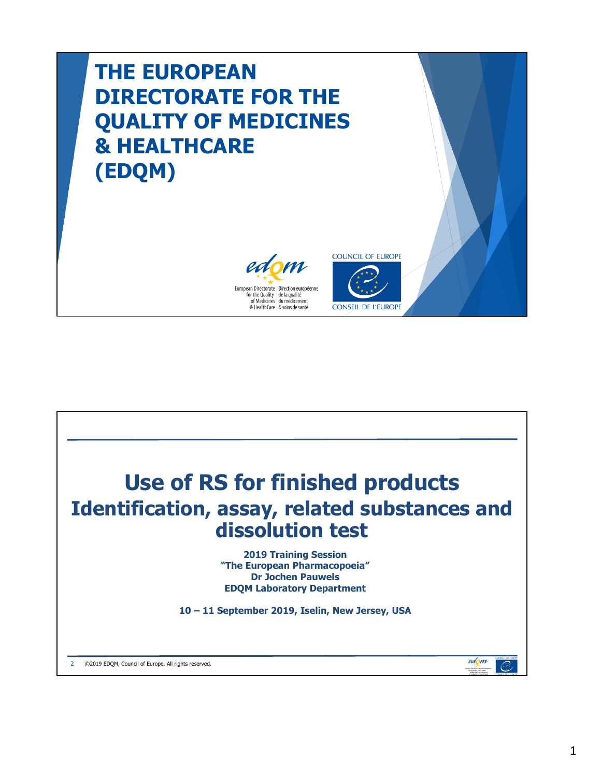## **THE EUROPEAN DIRECTORATE FOR THE QUALITY OF MEDICINES & HEALTHCARE (EDQM)**





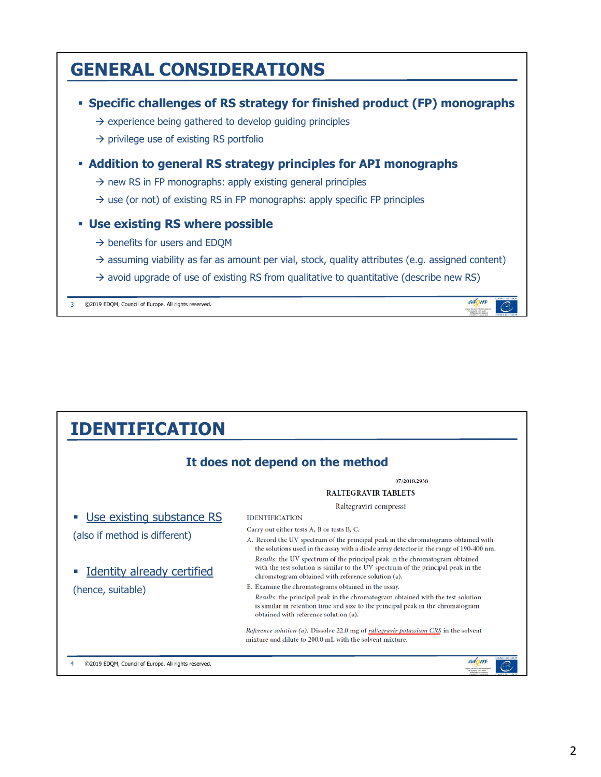

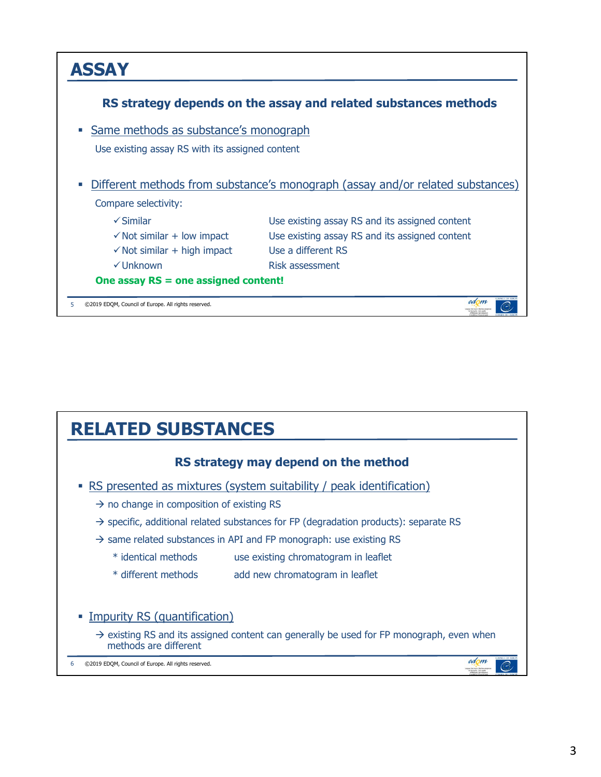

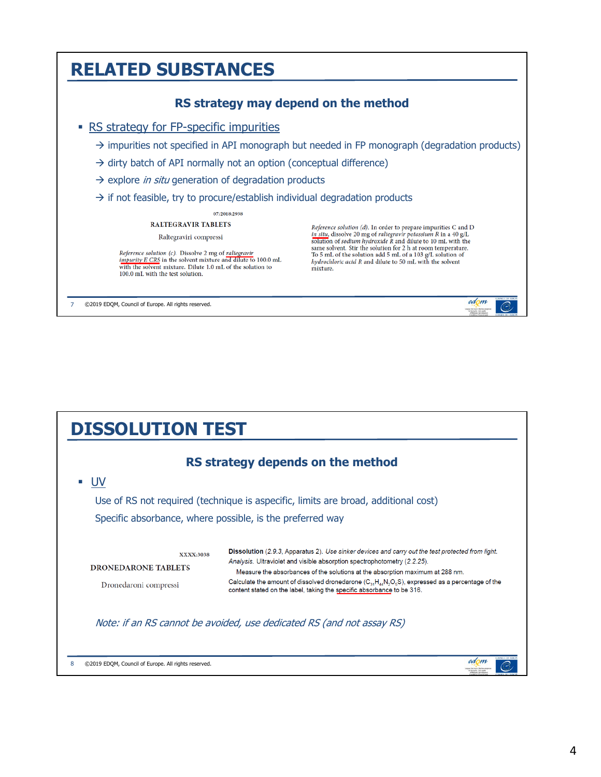